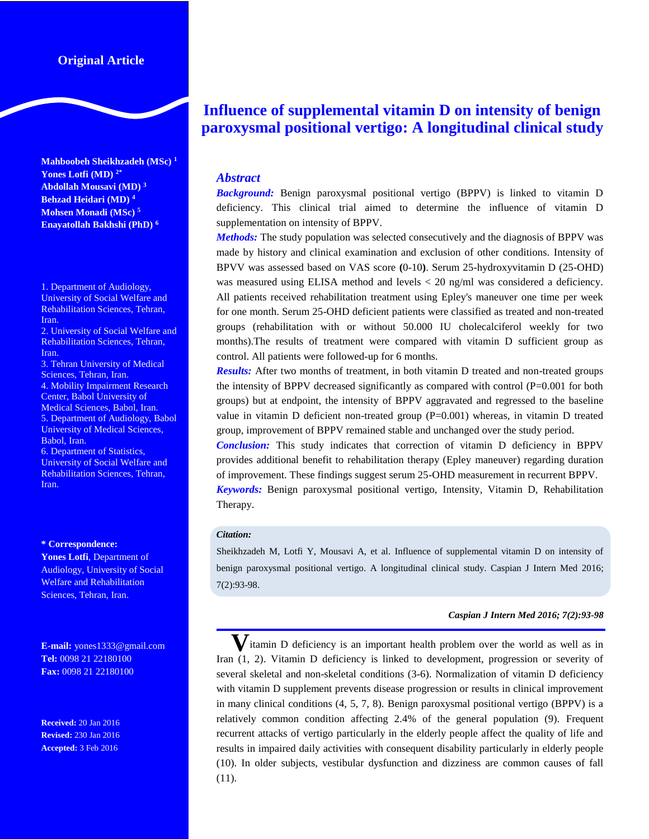# **Original Article**

**Mahboobeh Sheikhzadeh (MSc) 1 Yones Lotfi (MD) 2\* Abdollah Mousavi (MD) <sup>3</sup> Behzad Heidari (MD) <sup>4</sup> Mohsen Monadi (MSc) <sup>5</sup> Enayatollah Bakhshi (PhD) <sup>6</sup>**

1. Department of Audiology, University of Social Welfare and Rehabilitation Sciences, Tehran, Iran.

2. University of Social Welfare and Rehabilitation Sciences, Tehran, Iran.

3. Tehran University of Medical Sciences, Tehran, Iran. 4. Mobility Impairment Research Center, Babol University of Medical Sciences, Babol, Iran. 5. Department of Audiology, Babol University of Medical Sciences, Babol, Iran.

6. Department of Statistics, University of Social Welfare and Rehabilitation Sciences, Tehran, Iran.

#### **\* Correspondence:**

**Yones Lotfi**, Department of Audiology, University of Social Welfare and Rehabilitation Sciences, Tehran, Iran.

**E-mail:** yones1333@gmail.com **Tel:** 0098 21 22180100 **Fax:** 0098 21 22180100

**Received:** 20 Jan 2016 **Revised:** 230 Jan 2016 **Accepted:** 3 Feb 2016

# **Influence of supplemental vitamin D on intensity of benign paroxysmal positional vertigo: A longitudinal clinical study**

# *Abstract*

*Background:* Benign paroxysmal positional vertigo (BPPV) is linked to vitamin D deficiency. This clinical trial aimed to determine the influence of vitamin D supplementation on intensity of BPPV.

*Methods:* The study population was selected consecutively and the diagnosis of BPPV was made by history and clinical examination and exclusion of other conditions. Intensity of BPVV was assessed based on VAS score **(**0-10**)**. Serum 25-hydroxyvitamin D (25-OHD) was measured using ELISA method and levels < 20 ng/ml was considered a deficiency. All patients received rehabilitation treatment using Epley's maneuver one time per week for one month. Serum 25-OHD deficient patients were classified as treated and non-treated groups (rehabilitation with or without 50.000 IU cholecalciferol weekly for two months).The results of treatment were compared with vitamin D sufficient group as control. All patients were followed-up for 6 months.

*Results:* After two months of treatment, in both vitamin D treated and non-treated groups the intensity of BPPV decreased significantly as compared with control (P=0.001 for both groups) but at endpoint, the intensity of BPPV aggravated and regressed to the baseline value in vitamin D deficient non-treated group  $(P=0.001)$  whereas, in vitamin D treated group, improvement of BPPV remained stable and unchanged over the study period.

*Conclusion:* This study indicates that correction of vitamin D deficiency in BPPV provides additional benefit to rehabilitation therapy (Epley maneuver) regarding duration of improvement. These findings suggest serum 25-OHD measurement in recurrent BPPV.

*Keywords:* Benign paroxysmal positional vertigo, Intensity, Vitamin D, Rehabilitation Therapy.

## *Citation:*

Sheikhzadeh M, Lotfi Y, Mousavi A, et al. Influence of supplemental vitamin D on intensity of benign paroxysmal positional vertigo. A longitudinal clinical study. Caspian J Intern Med 2016; 7(2):93-98.

#### *Caspian J Intern Med 2016; 7(2):93-98*

**V**itamin D deficiency is an important health problem over the world as well as in Iran (1, 2). Vitamin D deficiency is linked to development, progression or severity of several skeletal and non-skeletal conditions (3-6). Normalization of vitamin D deficiency with vitamin D supplement prevents disease progression or results in clinical improvement in many clinical conditions (4, 5, 7, 8). Benign paroxysmal positional vertigo (BPPV) is a relatively common condition affecting 2.4% of the general population (9). Frequent recurrent attacks of vertigo particularly in the elderly people affect the quality of life and results in impaired daily activities with consequent disability particularly in elderly people (10). In older subjects, vestibular dysfunction and dizziness are common causes of fall (11).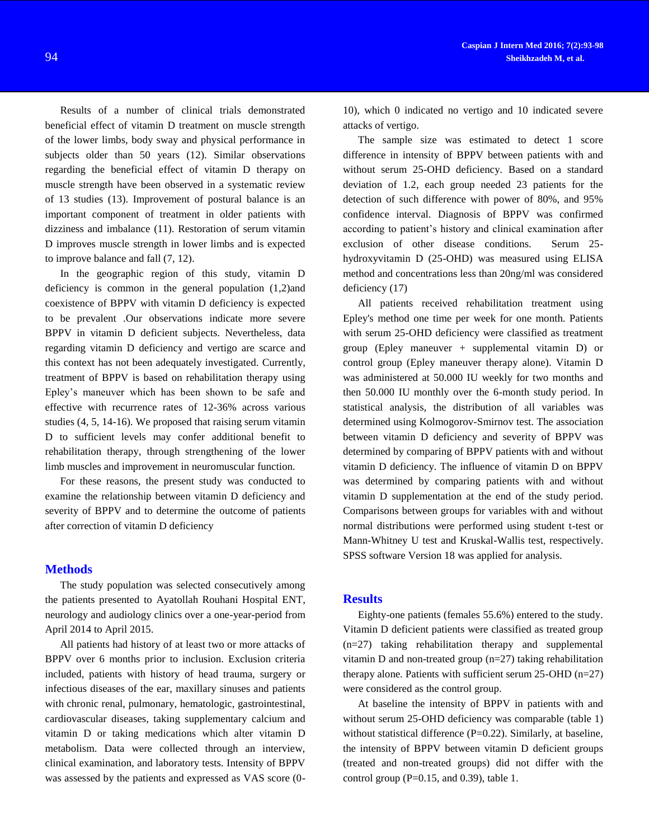Results of a number of clinical trials demonstrated beneficial effect of vitamin D treatment on muscle strength of the lower limbs, body sway and physical performance in subjects older than 50 years (12). Similar observations regarding the beneficial effect of vitamin D therapy on muscle strength have been observed in a systematic review of 13 studies (13). Improvement of postural balance is an important component of treatment in older patients with dizziness and imbalance (11). Restoration of serum vitamin D improves muscle strength in lower limbs and is expected to improve balance and fall (7, 12).

In the geographic region of this study, vitamin D deficiency is common in the general population (1,2)and coexistence of BPPV with vitamin D deficiency is expected to be prevalent .Our observations indicate more severe BPPV in vitamin D deficient subjects. Nevertheless, data regarding vitamin D deficiency and vertigo are scarce and this context has not been adequately investigated. Currently, treatment of BPPV is based on rehabilitation therapy using Epley's maneuver which has been shown to be safe and effective with recurrence rates of 12-36% across various studies (4, 5, 14-16). We proposed that raising serum vitamin D to sufficient levels may confer additional benefit to rehabilitation therapy, through strengthening of the lower limb muscles and improvement in neuromuscular function.

For these reasons, the present study was conducted to examine the relationship between vitamin D deficiency and severity of BPPV and to determine the outcome of patients after correction of vitamin D deficiency

#### **Methods**

The study population was selected consecutively among the patients presented to Ayatollah Rouhani Hospital ENT, neurology and audiology clinics over a one-year-period from April 2014 to April 2015.

All patients had history of at least two or more attacks of BPPV over 6 months prior to inclusion. Exclusion criteria included, patients with history of head trauma, surgery or infectious diseases of the ear, maxillary sinuses and patients with chronic renal, pulmonary, hematologic, gastrointestinal, cardiovascular diseases, taking supplementary calcium and vitamin D or taking medications which alter vitamin D metabolism. Data were collected through an interview, clinical examination, and laboratory tests. Intensity of BPPV was assessed by the patients and expressed as VAS score (010), which 0 indicated no vertigo and 10 indicated severe attacks of vertigo.

The sample size was estimated to detect 1 score difference in intensity of BPPV between patients with and without serum 25-OHD deficiency. Based on a standard deviation of 1.2, each group needed 23 patients for the detection of such difference with power of 80%, and 95% confidence interval. Diagnosis of BPPV was confirmed according to patient's history and clinical examination after exclusion of other disease conditions. Serum 25 hydroxyvitamin D (25-OHD) was measured using ELISA method and concentrations less than 20ng/ml was considered deficiency (17)

All patients received rehabilitation treatment using Epley's method one time per week for one month. Patients with serum 25-OHD deficiency were classified as treatment group (Epley maneuver + supplemental vitamin D) or control group (Epley maneuver therapy alone). Vitamin D was administered at 50.000 IU weekly for two months and then 50.000 IU monthly over the 6-month study period. In statistical analysis, the distribution of all variables was determined using Kolmogorov-Smirnov test. The association between vitamin D deficiency and severity of BPPV was determined by comparing of BPPV patients with and without vitamin D deficiency. The influence of vitamin D on BPPV was determined by comparing patients with and without vitamin D supplementation at the end of the study period. Comparisons between groups for variables with and without normal distributions were performed using student t-test or Mann-Whitney U test and Kruskal-Wallis test, respectively. SPSS software Version 18 was applied for analysis.

#### **Results**

Eighty-one patients (females 55.6%) entered to the study. Vitamin D deficient patients were classified as treated group (n=27) taking rehabilitation therapy and supplemental vitamin D and non-treated group (n=27) taking rehabilitation therapy alone. Patients with sufficient serum 25-OHD (n=27) were considered as the control group.

At baseline the intensity of BPPV in patients with and without serum 25-OHD deficiency was comparable (table 1) without statistical difference  $(P=0.22)$ . Similarly, at baseline, the intensity of BPPV between vitamin D deficient groups (treated and non-treated groups) did not differ with the control group  $(P=0.15$ , and 0.39), table 1.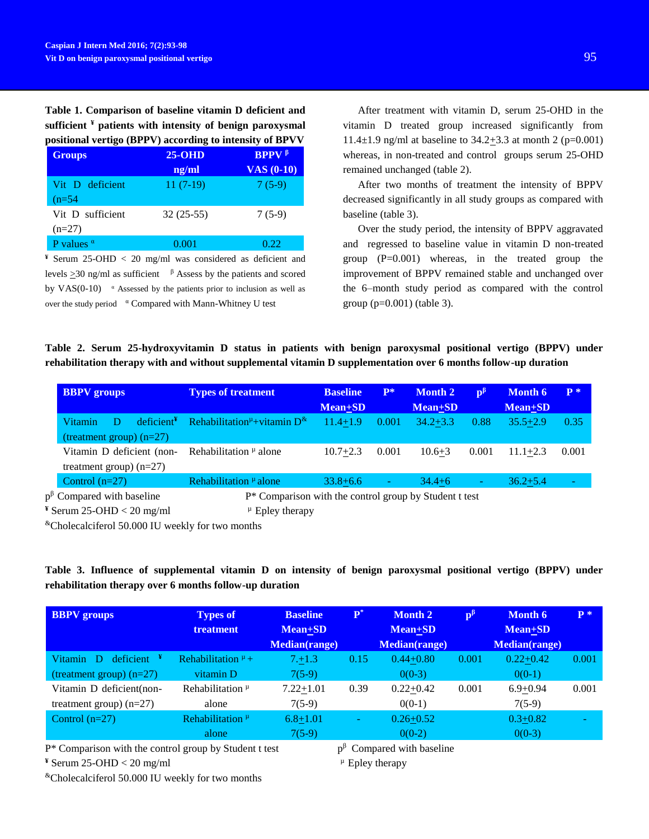# **Table 1. Comparison of baseline vitamin D deficient and sufficient ¥ patients with intensity of benign paroxysmal positional vertigo (BPPV) according to intensity of BPVV**

| <b>Groups</b>     | $25-OHD$    | <b>BPPV</b> $\beta$ |
|-------------------|-------------|---------------------|
|                   | ng/ml       | $VAS(0-10)$         |
| Vit D deficient   | $11(7-19)$  | $7(5-9)$            |
| $(n=54)$          |             |                     |
| Vit D sufficient  | $32(25-55)$ | $7(5-9)$            |
| $(n=27)$          |             |                     |
| P values $\alpha$ | 0.001       | 0.22                |

**¥** Serum 25-OHD < 20 mg/ml was considered as deficient and levels  $\geq$ 30 ng/ml as sufficient  $\beta$  Assess by the patients and scored by  $VAS(0-10)$  <sup>a</sup> Assessed by the patients prior to inclusion as well as over the study period <sup>a</sup> Compared with Mann-Whitney U test

After treatment with vitamin D, serum 25-OHD in the vitamin D treated group increased significantly from 11.4 $\pm$ 1.9 ng/ml at baseline to 34.2 $\pm$ 3.3 at month 2 (p=0.001) whereas, in non-treated and control groups serum 25-OHD remained unchanged (table 2).

After two months of treatment the intensity of BPPV decreased significantly in all study groups as compared with baseline (table 3).

Over the study period, the intensity of BPPV aggravated and regressed to baseline value in vitamin D non-treated group  $(P=0.001)$  whereas, in the treated group the improvement of BPPV remained stable and unchanged over the 6–month study period as compared with the control group (p=0.001) (table 3).

|  | Table 2. Serum 25-hydroxyvitamin D status in patients with benign paroxysmal positional vertigo (BPPV) under    |  |  |  |  |  |  |
|--|-----------------------------------------------------------------------------------------------------------------|--|--|--|--|--|--|
|  | rehabilitation therapy with and without supplemental vitamin D supplementation over 6 months follow-up duration |  |  |  |  |  |  |

| <b>BBPV</b> groups                                                          | <b>Types of treatment</b>                                 | <b>Baseline</b><br><b>Mean+SD</b> | $P^*$                    | <b>Month 2</b><br><b>Mean+SD</b> | $\mathbf{p}^{\mathbf{p}}$ | <b>Month 6</b><br>Mean+SD | $P^*$ |  |  |
|-----------------------------------------------------------------------------|-----------------------------------------------------------|-----------------------------------|--------------------------|----------------------------------|---------------------------|---------------------------|-------|--|--|
| deficient <sup><b>Y</b></sup><br>D<br>Vitamin<br>(treatment group) $(n=27)$ | Rehabilitation <sup>µ</sup> +vitamin $D^{\&}$             | $11.4 + 1.9$                      | 0.001                    | $34.2 + 3.3$                     | 0.88                      | $35.5 + 2.9$              | 0.35  |  |  |
| Vitamin D deficient (non-<br>treatment group) $(n=27)$                      | Rehabilitation $\mu$ alone                                | $10.7 + 2.3$                      | 0.001                    | $10.6 + 3$                       | 0.001                     | $11.1 + 2.3$              | 0.001 |  |  |
| Control $(n=27)$                                                            | Rehabilitation $\mu$ alone                                | $33.8 + 6.6$                      | $\overline{\phantom{a}}$ | $34.4 + 6$                       | ٠                         | $36.2 + 5.4$              | ٠     |  |  |
| $p^{\beta}$ Compared with baseline                                          | $P^*$ Comparison with the control group by Student t test |                                   |                          |                                  |                           |                           |       |  |  |
| $\frac{4}{3}$ Serum 25-OHD < 20 mg/ml                                       | $\mu$ Epley therapy                                       |                                   |                          |                                  |                           |                           |       |  |  |

&Cholecalciferol 50.000 IU weekly for two months

|  | Table 3. Influence of supplemental vitamin D on intensity of benign paroxysmal positional vertigo (BPPV) under |  |  |  |  |  |  |
|--|----------------------------------------------------------------------------------------------------------------|--|--|--|--|--|--|
|  | rehabilitation therapy over 6 months follow-up duration                                                        |  |  |  |  |  |  |

| <b>BBPV</b> groups                       | <b>Types of</b><br><b>treatment</b>        | <b>Baseline</b><br><b>Mean+SD</b> | $\mathbf{P}^*$ | <b>Month 2</b><br>$Mean + SD$ | $\mathbf{p}^{\mathrm{p}}$ | <b>Month 6</b><br>Mean+SD | $P^*$ |
|------------------------------------------|--------------------------------------------|-----------------------------------|----------------|-------------------------------|---------------------------|---------------------------|-------|
|                                          |                                            | <b>Median(range)</b>              |                | <b>Median(range)</b>          |                           | <b>Median(range)</b>      |       |
| $deficient$ <sup>¥</sup><br>Vitamin<br>D | Rehabilitation $\mu$ +                     | 7.11.3                            | 0.15           | $0.44 + 0.80$                 | 0.001                     | $0.22 + 0.42$             | 0.001 |
| (treatment group) $(n=27)$               | vitamin D                                  | $7(5-9)$                          |                | $0(0-3)$                      |                           | $0(0-1)$                  |       |
| Vitamin D deficient(non-                 | Rehabilitation $\mu$                       | $7.22 + 1.01$                     | 0.39           | $0.22 + 0.42$                 | 0.001                     | $6.9 + 0.94$              | 0.001 |
| treatment group) $(n=27)$                | alone                                      | $7(5-9)$                          |                | $0(0-1)$                      |                           | $7(5-9)$                  |       |
| Control $(n=27)$                         | Rehabilitation <sup><math>\mu</math></sup> | $6.8 + 1.01$                      | ۰              | $0.26 + 0.52$                 |                           | $0.3 + 0.82$              |       |
|                                          | alone                                      | $7(5-9)$                          |                | $0(0-2)$                      |                           | $0(0-3)$                  |       |

P\* Comparison with the control group by Student t test p

**¥** Serum 25-OHD < 20 mg/ml

&Cholecalciferol 50.000 IU weekly for two months

 $p^{\beta}$  Compared with baseline

 $\mu$  Epley therapy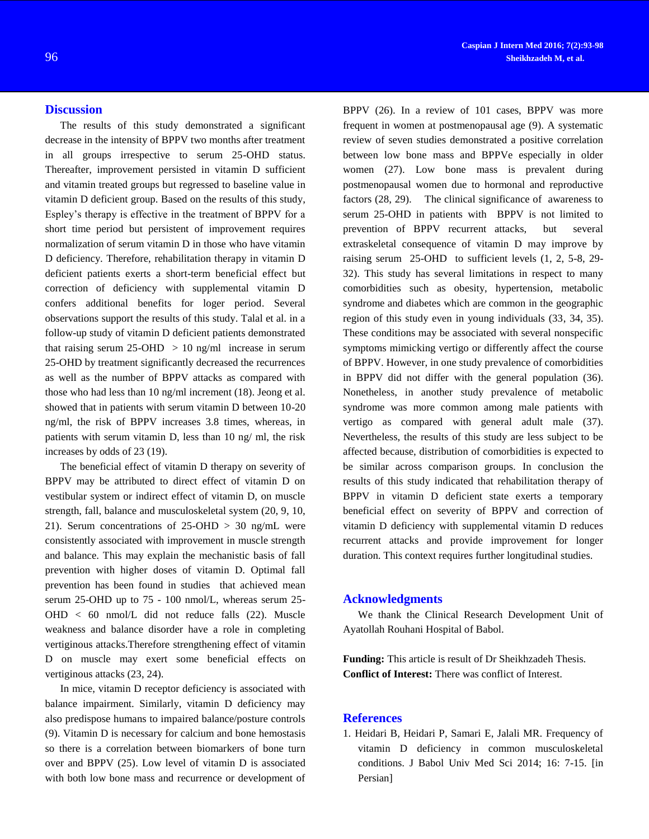# **Discussion**

The results of this study demonstrated a significant decrease in the intensity of BPPV two months after treatment in all groups irrespective to serum 25-OHD status. Thereafter, improvement persisted in vitamin D sufficient and vitamin treated groups but regressed to baseline value in vitamin D deficient group. Based on the results of this study, Espley's therapy is effective in the treatment of BPPV for a short time period but persistent of improvement requires normalization of serum vitamin D in those who have vitamin D deficiency. Therefore, rehabilitation therapy in vitamin D deficient patients exerts a short-term beneficial effect but correction of deficiency with supplemental vitamin D confers additional benefits for loger period. Several observations support the results of this study. Talal et al. in a follow-up study of vitamin D deficient patients demonstrated that raising serum  $25-OHD > 10$  ng/ml increase in serum 25-OHD by treatment significantly decreased the recurrences as well as the number of BPPV attacks as compared with those who had less than 10 ng/ml increment (18). Jeong et al. showed that in patients with serum vitamin D between 10-20 ng/ml, the risk of BPPV increases 3.8 times, whereas, in patients with serum vitamin D, less than 10 ng/ ml, the risk increases by odds of 23 (19).

The beneficial effect of vitamin D therapy on severity of BPPV may be attributed to direct effect of vitamin D on vestibular system or indirect effect of vitamin D, on muscle strength, fall, balance and musculoskeletal system (20, 9, 10, 21). Serum concentrations of  $25-OHD > 30$  ng/mL were consistently associated with improvement in muscle strength and balance. This may explain the mechanistic basis of fall prevention with higher doses of vitamin D. Optimal fall prevention has been found in studies that achieved mean serum 25-OHD up to 75 - 100 nmol/L, whereas serum 25- OHD < 60 nmol/L did not reduce falls (22). Muscle weakness and balance disorder have a role in completing vertiginous attacks.Therefore strengthening effect of vitamin D on muscle may exert some beneficial effects on vertiginous attacks (23, 24).

In mice, vitamin D receptor deficiency is associated with balance impairment. Similarly, vitamin D deficiency may also predispose humans to impaired balance/posture controls (9). Vitamin D is necessary for calcium and bone hemostasis so there is a correlation between biomarkers of bone turn over and BPPV (25). Low level of vitamin D is associated with both low bone mass and recurrence or development of

BPPV (26). In a review of 101 cases, BPPV was more frequent in women at postmenopausal age (9). A systematic review of seven studies demonstrated a positive correlation between low bone mass and BPPVe especially in older women (27). Low bone mass is prevalent during postmenopausal women due to hormonal and reproductive factors (28, 29). The clinical significance of awareness to serum 25-OHD in patients with BPPV is not limited to prevention of BPPV recurrent attacks, but several extraskeletal consequence of vitamin D may improve by raising serum 25-OHD to sufficient levels (1, 2, 5-8, 29- 32). This study has several limitations in respect to many comorbidities such as obesity, hypertension, metabolic syndrome and diabetes which are common in the geographic region of this study even in young individuals (33, 34, 35). These conditions may be associated with several nonspecific symptoms mimicking vertigo or differently affect the course of BPPV. However, in one study prevalence of comorbidities in BPPV did not differ with the general population (36). Nonetheless, in another study prevalence of metabolic syndrome was more common among male patients with vertigo as compared with general adult male (37). Nevertheless, the results of this study are less subject to be affected because, distribution of comorbidities is expected to be similar across comparison groups. In conclusion the results of this study indicated that rehabilitation therapy of BPPV in vitamin D deficient state exerts a temporary beneficial effect on severity of BPPV and correction of vitamin D deficiency with supplemental vitamin D reduces recurrent attacks and provide improvement for longer duration. This context requires further longitudinal studies.

## **Acknowledgments**

We thank the Clinical Research Development Unit of Ayatollah Rouhani Hospital of Babol.

**Funding:** This article is result of Dr Sheikhzadeh Thesis. **Conflict of Interest:** There was conflict of Interest.

## **References**

1. Heidari B, Heidari P, Samari E, Jalali MR. Frequency of vitamin D deficiency in common musculoskeletal conditions. J Babol Univ Med Sci 2014; 16: 7-15. [in Persian]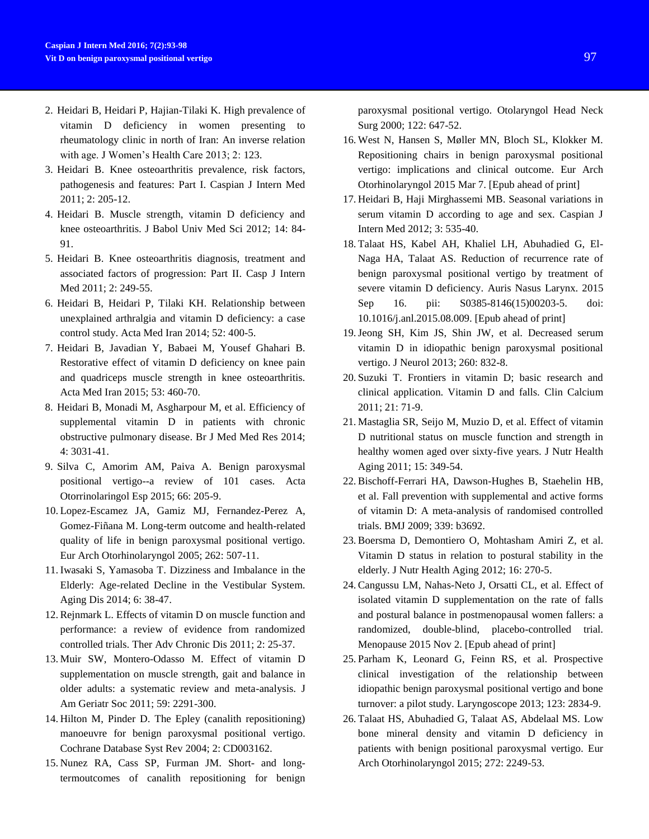- 2. Heidari B, Heidari P, Hajian-Tilaki K. High prevalence of vitamin D deficiency in women presenting to rheumatology clinic in north of Iran: An inverse relation with age. J Women's Health Care 2013; 2: 123.
- 3. Heidari B. Knee osteoarthritis prevalence, risk factors, pathogenesis and features: Part I. Caspian J Intern Med 2011; 2: 205-12.
- 4. Heidari B. Muscle strength, vitamin D deficiency and knee osteoarthritis. J Babol Univ Med Sci 2012; 14: 84- 91.
- 5. Heidari B. Knee osteoarthritis diagnosis, treatment and associated factors of progression: Part II. Casp J Intern Med 2011; 2: 249-55.
- 6. Heidari B, Heidari P, Tilaki KH. Relationship between unexplained arthralgia and vitamin D deficiency: a case control study. Acta Med Iran 2014; 52: 400-5.
- 7. Heidari B, Javadian Y, Babaei M, Yousef Ghahari B. Restorative effect of vitamin D deficiency on knee pain and quadriceps muscle strength in knee osteoarthritis. Acta Med Iran 2015; 53: 460-70.
- 8. Heidari B, Monadi M, Asgharpour M, et al. Efficiency of supplemental vitamin D in patients with chronic obstructive pulmonary disease. Br J Med Med Res 2014; 4: 3031-41.
- 9. Silva C, Amorim AM, Paiva A. [Benign paroxysmal](http://www.ncbi.nlm.nih.gov/pubmed/25865125)  [positional vertigo--a review of 101 cases.](http://www.ncbi.nlm.nih.gov/pubmed/25865125) Acta Otorrinolaringol Esp 2015; 66: 205-9.
- 10. [Lopez-Escamez JA,](http://www.ncbi.nlm.nih.gov/pubmed/?term=Lopez-Escamez%20JA%5BAuthor%5D&cauthor=true&cauthor_uid=15942805) [Gamiz MJ,](http://www.ncbi.nlm.nih.gov/pubmed/?term=Gamiz%20MJ%5BAuthor%5D&cauthor=true&cauthor_uid=15942805) [Fernandez-Perez A,](http://www.ncbi.nlm.nih.gov/pubmed/?term=Fernandez-Perez%20A%5BAuthor%5D&cauthor=true&cauthor_uid=15942805) [Gomez-Fiñana M.](http://www.ncbi.nlm.nih.gov/pubmed/?term=Gomez-Fi%C3%B1ana%20M%5BAuthor%5D&cauthor=true&cauthor_uid=15942805) Long-term outcome and health-related quality of life in benign paroxysmal positional vertigo. [Eur Arch Otorhinolaryngol](http://www.ncbi.nlm.nih.gov/pubmed/?term=.+Lopez-Escamez%2C+M.+J.+Gamiz%2C+A.+Fernandez-Perez%2C+andM.Gomez-Fi%CB%9Cnana%2C+%E2%80%9CLong-termoutcome+and+health-related+quality+of+life+in+benign+paroxysmal+positional+vertigo%2CEuropean+Archives+of+Oto-Rhino-Laryngology%2C) 2005; 262: 507-11.
- 11. [Iwasaki S,](http://www.ncbi.nlm.nih.gov/pubmed/?term=Iwasaki%20S%5BAuthor%5D&cauthor=true&cauthor_uid=25657851) [Yamasoba T.](http://www.ncbi.nlm.nih.gov/pubmed/?term=Yamasoba%20T%5BAuthor%5D&cauthor=true&cauthor_uid=25657851) Dizziness and Imbalance in the Elderly: Age-related Decline in the Vestibular System. [Aging Dis](http://www.ncbi.nlm.nih.gov/pubmed/25657851) 2014; 6: 38-47.
- 12. [Rejnmark L.](http://www.ncbi.nlm.nih.gov/pubmed/?term=Rejnmark%20L%5BAuthor%5D&cauthor=true&cauthor_uid=23251739) Effects of vitamin D on muscle function and performance: a review of evidence from randomized controlled trials. [Ther Adv Chronic Dis](http://www.ncbi.nlm.nih.gov/pubmed/23251739) 2011; 2: 25-37.
- 13. [Muir SW,](http://www.ncbi.nlm.nih.gov/pubmed/?term=Muir%20SW%5BAuthor%5D&cauthor=true&cauthor_uid=22188076) [Montero-Odasso M.](http://www.ncbi.nlm.nih.gov/pubmed/?term=Montero-Odasso%20M%5BAuthor%5D&cauthor=true&cauthor_uid=22188076) Effect of vitamin D supplementation on muscle strength, gait and balance in older adults: a systematic review and meta-analysis. [J](http://www.ncbi.nlm.nih.gov/pubmed/?term=Journal+of+the+American+Geriatrics+Society+Effect+of+Vitamin+D+Supplementation+on+Muscle+Strength%2C+Gait+and+Balance+in+Older+Adults)  [Am Geriatr Soc](http://www.ncbi.nlm.nih.gov/pubmed/?term=Journal+of+the+American+Geriatrics+Society+Effect+of+Vitamin+D+Supplementation+on+Muscle+Strength%2C+Gait+and+Balance+in+Older+Adults) 2011; 59: 2291-300.
- 14. [Hilton M,](http://www.ncbi.nlm.nih.gov/pubmed/?term=Hilton%20M%5BAuthor%5D&cauthor=true&cauthor_uid=15106194) [Pinder D.](http://www.ncbi.nlm.nih.gov/pubmed/?term=Pinder%20D%5BAuthor%5D&cauthor=true&cauthor_uid=15106194) The Epley (canalith repositioning) manoeuvre for benign paroxysmal positional vertigo. [Cochrane Database Syst Rev](http://www.ncbi.nlm.nih.gov/pubmed/15106194) 2004; 2: CD003162.
- 15. [Nunez RA,](http://www.ncbi.nlm.nih.gov/pubmed/?term=Nunez%20RA%5BAuthor%5D&cauthor=true&cauthor_uid=10793340) [Cass SP,](http://www.ncbi.nlm.nih.gov/pubmed/?term=Cass%20SP%5BAuthor%5D&cauthor=true&cauthor_uid=10793340) [Furman JM.](http://www.ncbi.nlm.nih.gov/pubmed/?term=Furman%20JM%5BAuthor%5D&cauthor=true&cauthor_uid=10793340) Short- and longtermoutcomes of canalith repositioning for benign

paroxysmal positional vertigo. [Otolaryngol Head Neck](http://www.ncbi.nlm.nih.gov/pubmed/?term=Nunez+RA%2C+Cass+SP%2C+Furman+JM%2C2000.Short-+and+long-term+outcomes+of+canalith+repositioning+for+benign+paroxysmal+positional+vertigo.+Otolaryngol+Head+Neck+Surg.)  [Surg](http://www.ncbi.nlm.nih.gov/pubmed/?term=Nunez+RA%2C+Cass+SP%2C+Furman+JM%2C2000.Short-+and+long-term+outcomes+of+canalith+repositioning+for+benign+paroxysmal+positional+vertigo.+Otolaryngol+Head+Neck+Surg.) 2000; 122: 647-52.

- 16. West N, Hansen S, Møller MN, Bloch SL, Klokker M. [Repositioning chairs in benign paroxysmal positional](http://www.ncbi.nlm.nih.gov/pubmed/25749489)  [vertigo: implications and clinical outcome.](http://www.ncbi.nlm.nih.gov/pubmed/25749489) Eur Arch Otorhinolaryngol 2015 Mar 7. [Epub ahead of print]
- 17. Heidari B, Haji Mirghassemi MB. Seasonal variations in serum vitamin D according to age and sex. Caspian J Intern Med 2012; 3: 535-40.
- 18. Talaat HS, Kabel AH, Khaliel LH, Abuhadied G, El-Naga HA, Talaat AS. [Reduction of recurrence rate of](http://www.ncbi.nlm.nih.gov/pubmed/26386496)  [benign paroxysmal positional vertigo by treatment of](http://www.ncbi.nlm.nih.gov/pubmed/26386496)  [severe vitamin D deficiency.](http://www.ncbi.nlm.nih.gov/pubmed/26386496) Auris Nasus Larynx. 2015 Sep 16. pii: S0385-8146(15)00203-5. doi: 10.1016/j.anl.2015.08.009. [Epub ahead of print]
- 19[.Jeong SH,](http://www.ncbi.nlm.nih.gov/pubmed/?term=Jeong%20SH%5BAuthor%5D&cauthor=true&cauthor_uid=23096068) [Kim JS,](http://www.ncbi.nlm.nih.gov/pubmed/?term=Kim%20JS%5BAuthor%5D&cauthor=true&cauthor_uid=23096068) [Shin JW,](http://www.ncbi.nlm.nih.gov/pubmed/?term=Shin%20JW%5BAuthor%5D&cauthor=true&cauthor_uid=23096068) et al. Decreased serum vitamin D in idiopathic benign paroxysmal positional vertigo. [J Neurol](http://www.ncbi.nlm.nih.gov/pubmed/?term=jeong+++vertigo+vitamin+d) 2013; 260: 832-8.
- 20. [Suzuki T.](http://www.ncbi.nlm.nih.gov/pubmed/?term=Suzuki%20T%5BAuthor%5D&cauthor=true&cauthor_uid=22040823) Frontiers in vitamin D; basic research and clinical application. Vitamin D and falls. [Clin Calcium](http://www.ncbi.nlm.nih.gov/pubmed/22040823) 2011; 21: 71-9.
- 21. [Mastaglia SR,](http://www.ncbi.nlm.nih.gov/pubmed/?term=Mastaglia%20SR%5BAuthor%5D&cauthor=true&cauthor_uid=21528160) [Seijo M,](http://www.ncbi.nlm.nih.gov/pubmed/?term=Seijo%20M%5BAuthor%5D&cauthor=true&cauthor_uid=21528160) [Muzio D,](http://www.ncbi.nlm.nih.gov/pubmed/?term=Muzio%20D%5BAuthor%5D&cauthor=true&cauthor_uid=21528160) et al. Effect of vitamin D nutritional status on muscle function and strength in healthy women aged over sixty-five years. [J Nutr Health](http://www.ncbi.nlm.nih.gov/pubmed/21528160)  [Aging](http://www.ncbi.nlm.nih.gov/pubmed/21528160) 2011; 15: 349-54.
- 22. Bischoff-Ferrari HA, Dawson-Hughes B, Staehelin HB, et al. Fall prevention with supplemental and active forms of vitamin D: A meta-analysis of randomised controlled trials. BMJ 2009; 339: b3692.
- 23. [Boersma D,](http://www.ncbi.nlm.nih.gov/pubmed/?term=Boersma%20D%5BAuthor%5D&cauthor=true&cauthor_uid=22456785) [Demontiero O,](http://www.ncbi.nlm.nih.gov/pubmed/?term=Demontiero%20O%5BAuthor%5D&cauthor=true&cauthor_uid=22456785) [Mohtasham Amiri Z,](http://www.ncbi.nlm.nih.gov/pubmed/?term=Mohtasham%20Amiri%20Z%5BAuthor%5D&cauthor=true&cauthor_uid=22456785) et al. Vitamin D status in relation to postural stability in the elderly. [J Nutr Health Aging](http://www.ncbi.nlm.nih.gov/pubmed/22456785) 2012; 16: 270-5.
- 24. [Cangussu LM,](http://www.ncbi.nlm.nih.gov/pubmed/?term=Cangussu%20LM%5BAuthor%5D&cauthor=true&cauthor_uid=26554884) [Nahas-Neto J,](http://www.ncbi.nlm.nih.gov/pubmed/?term=Nahas-Neto%20J%5BAuthor%5D&cauthor=true&cauthor_uid=26554884) [Orsatti CL,](http://www.ncbi.nlm.nih.gov/pubmed/?term=Orsatti%20CL%5BAuthor%5D&cauthor=true&cauthor_uid=26554884) et al. Effect of isolated vitamin D supplementation on the rate of falls and postural balance in postmenopausal women fallers: a randomized, double-blind, placebo-controlled trial. [Menopause](http://www.ncbi.nlm.nih.gov/pubmed/26554884) 2015 Nov 2. [Epub ahead of print]
- 25. Parham K, Leonard G, Feinn RS, et al. Prospective clinical investigation of the relationship between idiopathic benign paroxysmal positional vertigo and bone turnover: a pilot study. Laryngoscope 2013; 123: 2834-9.
- 26. Talaat HS, Abuhadied G, Talaat AS, Abdelaal MS. [Low](http://www.ncbi.nlm.nih.gov/pubmed/24973969)  [bone mineral density and vitamin D deficiency in](http://www.ncbi.nlm.nih.gov/pubmed/24973969)  [patients with benign positional paroxysmal vertigo.](http://www.ncbi.nlm.nih.gov/pubmed/24973969) Eur Arch Otorhinolaryngol 2015; 272: 2249-53.